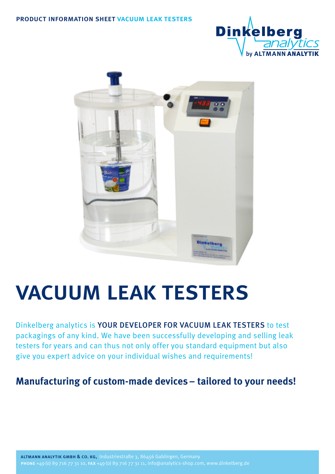



# vacuum leak testers

Dinkelberg analytics is YOUR DEVELOPER FOR VACUUM LEAK TESTERS to test packagings of any kind. We have been successfully developing and selling leak testers for years and can thus not only offer you standard equipment but also give you expert advice on your individual wishes and requirements!

#### **Manufacturing of custom-made devices– tailored to your needs!**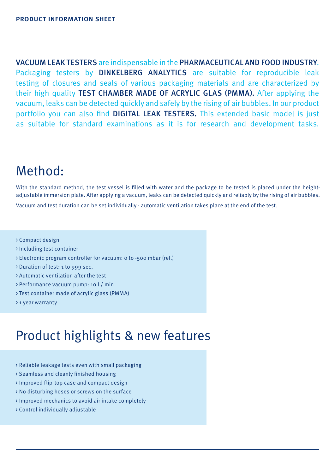VACUUM LEAK TESTERS are indispensable in the PHARMACEUTICAL AND FOOD INDUSTRY. Packaging testers by DINKELBERG ANALYTICS are suitable for reproducible leak testing of closures and seals of various packaging materials and are characterized by their high quality TEST CHAMBER MADE OF ACRYLIC GLAS (PMMA). After applying the vacuum, leaks can be detected quickly and safely by the rising of air bubbles. In our product portfolio you can also find DIGITAL LEAK TESTERS. This extended basic model is just as suitable for standard examinations as it is for research and development tasks.

#### Method:

With the standard method, the test vessel is filled with water and the package to be tested is placed under the heightadjustable immersion plate. After applying a vacuum, leaks can be detected quickly and reliably by the rising of air bubbles.

Vacuum and test duration can be set individually - automatic ventilation takes place at the end of the test.

- > Compact design
- > Including test container
- > Electronic program controller for vacuum: 0 to -500 mbar (rel.)
- > Duration of test: 1 to 999 sec.
- > Automatic ventilation after the test
- > Performance vacuum pump: 10 l / min
- > Test container made of acrylic glass (PMMA)
- > 1 year warranty

#### Product highlights & new features

- > Reliable leakage tests even with small packaging
- > Seamless and cleanly finished housing
- > Improved flip-top case and compact design
- > No disturbing hoses or screws on the surface
- > Improved mechanics to avoid air intake completely
- > Control individually adjustable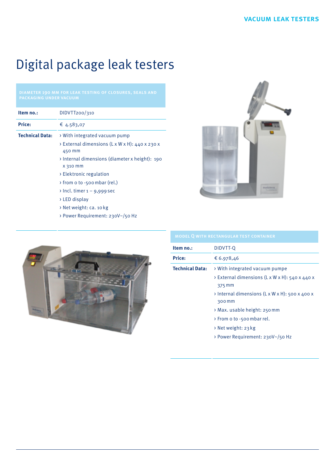## Digital package leak testers

| Item no.:              | DIDVTT200/310                                                                                                                                                                                                                                                                                           |
|------------------------|---------------------------------------------------------------------------------------------------------------------------------------------------------------------------------------------------------------------------------------------------------------------------------------------------------|
| <b>Price:</b>          | € 4.583,07                                                                                                                                                                                                                                                                                              |
| <b>Technical Data:</b> | > With integrated vacuum pump<br>> External dimensions (L x W x H): 440 x 230 x<br>450 mm<br>> Internal dimensions (diameter x height): 190<br>X 310 mm<br>> Elektronic regulation<br>from o to -500 mbar (rel.)<br>$\rightarrow$ Incl. timer 1 – 9,999 sec<br>> LED display<br>> Net weight: ca. 10 kg |
|                        | > Power Requirement: 230V~/50 Hz                                                                                                                                                                                                                                                                        |





| Item no.:              | DIDVTT-Q                                                             |
|------------------------|----------------------------------------------------------------------|
| <b>Price:</b>          | € 6.978,46                                                           |
| <b>Technical Data:</b> | > With integrated vacuum pumpe                                       |
|                        | $\rightarrow$ External dimensions (L x W x H): 540 x 440 x<br>375 mm |
|                        | > Internal dimensions (L x W x H): 500 x 400 x<br>300 mm             |
|                        | > Max. usable height: 250 mm                                         |
|                        | > From o to -500 mbar rel.                                           |
|                        | $\rightarrow$ Net weight: 23 kg                                      |
|                        | > Power Requirement: 230V~/50 Hz                                     |